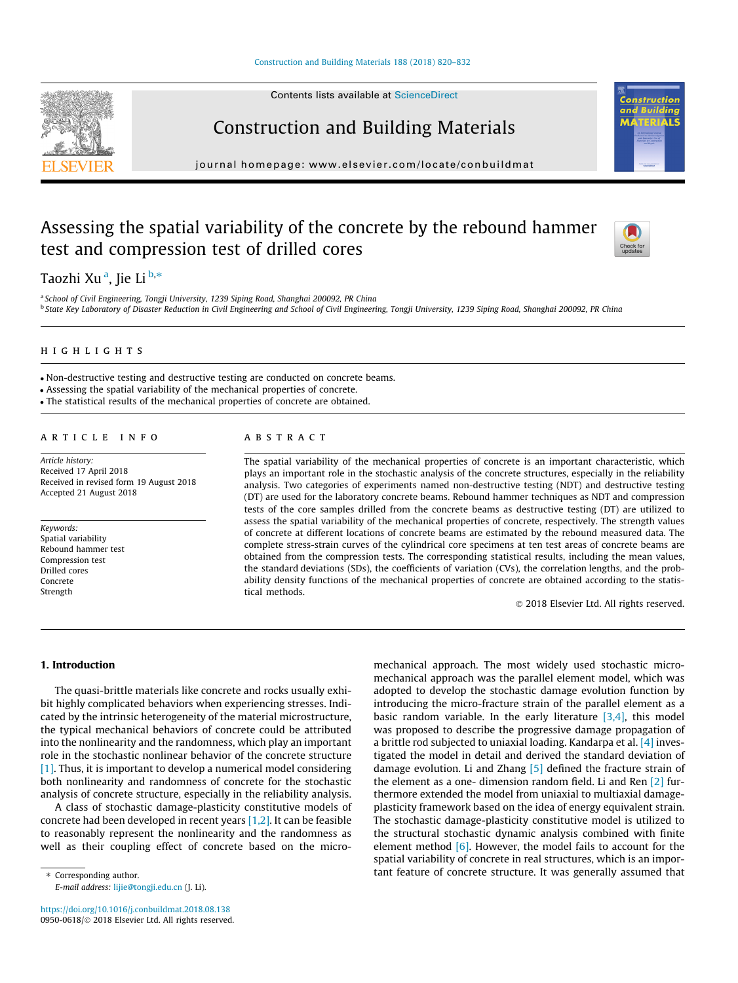#### [Construction and Building Materials 188 \(2018\) 820–832](https://doi.org/10.1016/j.conbuildmat.2018.08.138)

Contents lists available at [ScienceDirect](http://www.sciencedirect.com/science/journal/09500618)

## Construction and Building Materials

journal homepage: [www.elsevier.com/locate/conbuildmat](http://www.elsevier.com/locate/conbuildmat)

## Assessing the spatial variability of the concrete by the rebound hammer test and compression test of drilled cores

Taozhi Xu <sup>a</sup>, Jie Li <sup>b,</sup>\*

<sup>a</sup> School of Civil Engineering, Tongji University, 1239 Siping Road, Shanghai 200092, PR China <sup>b</sup> State Key Laboratory of Disaster Reduction in Civil Engineering and School of Civil Engineering, Tongji University, 1239 Siping Road, Shanghai 200092, PR China

### highlights and the second second second second second second second second second second second second second

Non-destructive testing and destructive testing are conducted on concrete beams.

Assessing the spatial variability of the mechanical properties of concrete.

The statistical results of the mechanical properties of concrete are obtained.

#### ARTICLE INFO

Article history: Received 17 April 2018 Received in revised form 19 August 2018 Accepted 21 August 2018

Keywords: Spatial variability Rebound hammer test Compression test Drilled cores Concrete Strength

#### **ABSTRACT**

The spatial variability of the mechanical properties of concrete is an important characteristic, which plays an important role in the stochastic analysis of the concrete structures, especially in the reliability analysis. Two categories of experiments named non-destructive testing (NDT) and destructive testing (DT) are used for the laboratory concrete beams. Rebound hammer techniques as NDT and compression tests of the core samples drilled from the concrete beams as destructive testing (DT) are utilized to assess the spatial variability of the mechanical properties of concrete, respectively. The strength values of concrete at different locations of concrete beams are estimated by the rebound measured data. The complete stress-strain curves of the cylindrical core specimens at ten test areas of concrete beams are obtained from the compression tests. The corresponding statistical results, including the mean values, the standard deviations (SDs), the coefficients of variation (CVs), the correlation lengths, and the probability density functions of the mechanical properties of concrete are obtained according to the statistical methods.

2018 Elsevier Ltd. All rights reserved.

1. Introduction

The quasi-brittle materials like concrete and rocks usually exhibit highly complicated behaviors when experiencing stresses. Indicated by the intrinsic heterogeneity of the material microstructure, the typical mechanical behaviors of concrete could be attributed into the nonlinearity and the randomness, which play an important role in the stochastic nonlinear behavior of the concrete structure [\[1\]](#page--1-0). Thus, it is important to develop a numerical model considering both nonlinearity and randomness of concrete for the stochastic analysis of concrete structure, especially in the reliability analysis.

A class of stochastic damage-plasticity constitutive models of concrete had been developed in recent years  $[1,2]$ . It can be feasible to reasonably represent the nonlinearity and the randomness as well as their coupling effect of concrete based on the micro-

⇑ Corresponding author. E-mail address: [lijie@tongji.edu.cn](mailto:lijie@tongji.edu.cn) (J. Li).

<https://doi.org/10.1016/j.conbuildmat.2018.08.138> 0950-0618/© 2018 Elsevier Ltd. All rights reserved. mechanical approach. The most widely used stochastic micromechanical approach was the parallel element model, which was adopted to develop the stochastic damage evolution function by introducing the micro-fracture strain of the parallel element as a basic random variable. In the early literature  $[3,4]$ , this model was proposed to describe the progressive damage propagation of a brittle rod subjected to uniaxial loading. Kandarpa et al. [\[4\]](#page--1-0) investigated the model in detail and derived the standard deviation of damage evolution. Li and Zhang [\[5\]](#page--1-0) defined the fracture strain of the element as a one- dimension random field. Li and Ren [\[2\]](#page--1-0) furthermore extended the model from uniaxial to multiaxial damageplasticity framework based on the idea of energy equivalent strain. The stochastic damage-plasticity constitutive model is utilized to the structural stochastic dynamic analysis combined with finite element method  $[6]$ . However, the model fails to account for the spatial variability of concrete in real structures, which is an important feature of concrete structure. It was generally assumed that





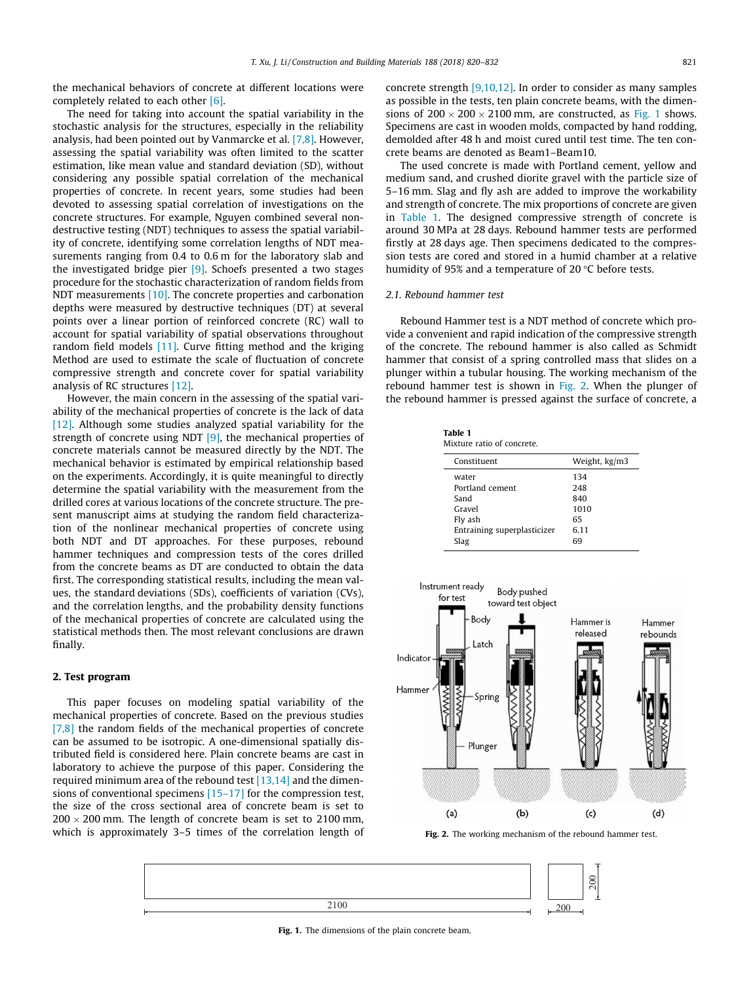the mechanical behaviors of concrete at different locations were completely related to each other [\[6\]](#page--1-0).

The need for taking into account the spatial variability in the stochastic analysis for the structures, especially in the reliability analysis, had been pointed out by Vanmarcke et al. [\[7,8\].](#page--1-0) However, assessing the spatial variability was often limited to the scatter estimation, like mean value and standard deviation (SD), without considering any possible spatial correlation of the mechanical properties of concrete. In recent years, some studies had been devoted to assessing spatial correlation of investigations on the concrete structures. For example, Nguyen combined several nondestructive testing (NDT) techniques to assess the spatial variability of concrete, identifying some correlation lengths of NDT measurements ranging from 0.4 to 0.6 m for the laboratory slab and the investigated bridge pier [\[9\]](#page--1-0). Schoefs presented a two stages procedure for the stochastic characterization of random fields from NDT measurements [\[10\]](#page--1-0). The concrete properties and carbonation depths were measured by destructive techniques (DT) at several points over a linear portion of reinforced concrete (RC) wall to account for spatial variability of spatial observations throughout random field models [\[11\].](#page--1-0) Curve fitting method and the kriging Method are used to estimate the scale of fluctuation of concrete compressive strength and concrete cover for spatial variability analysis of RC structures [\[12\]](#page--1-0).

However, the main concern in the assessing of the spatial variability of the mechanical properties of concrete is the lack of data [\[12\].](#page--1-0) Although some studies analyzed spatial variability for the strength of concrete using NDT [\[9\],](#page--1-0) the mechanical properties of concrete materials cannot be measured directly by the NDT. The mechanical behavior is estimated by empirical relationship based on the experiments. Accordingly, it is quite meaningful to directly determine the spatial variability with the measurement from the drilled cores at various locations of the concrete structure. The present manuscript aims at studying the random field characterization of the nonlinear mechanical properties of concrete using both NDT and DT approaches. For these purposes, rebound hammer techniques and compression tests of the cores drilled from the concrete beams as DT are conducted to obtain the data first. The corresponding statistical results, including the mean values, the standard deviations (SDs), coefficients of variation (CVs), and the correlation lengths, and the probability density functions of the mechanical properties of concrete are calculated using the statistical methods then. The most relevant conclusions are drawn finally.

#### 2. Test program

This paper focuses on modeling spatial variability of the mechanical properties of concrete. Based on the previous studies [\[7,8\]](#page--1-0) the random fields of the mechanical properties of concrete can be assumed to be isotropic. A one-dimensional spatially distributed field is considered here. Plain concrete beams are cast in laboratory to achieve the purpose of this paper. Considering the required minimum area of the rebound test [\[13,14\]](#page--1-0) and the dimensions of conventional specimens [\[15–17\]](#page--1-0) for the compression test, the size of the cross sectional area of concrete beam is set to  $200 \times 200$  mm. The length of concrete beam is set to 2100 mm, which is approximately 3–5 times of the correlation length of concrete strength [\[9,10,12\]](#page--1-0). In order to consider as many samples as possible in the tests, ten plain concrete beams, with the dimensions of  $200 \times 200 \times 2100$  mm, are constructed, as Fig. 1 shows. Specimens are cast in wooden molds, compacted by hand rodding, demolded after 48 h and moist cured until test time. The ten concrete beams are denoted as Beam1–Beam10.

The used concrete is made with Portland cement, yellow and medium sand, and crushed diorite gravel with the particle size of 5–16 mm. Slag and fly ash are added to improve the workability and strength of concrete. The mix proportions of concrete are given in Table 1. The designed compressive strength of concrete is around 30 MPa at 28 days. Rebound hammer tests are performed firstly at 28 days age. Then specimens dedicated to the compression tests are cored and stored in a humid chamber at a relative humidity of 95% and a temperature of 20 $\degree$ C before tests.

#### 2.1. Rebound hammer test

Rebound Hammer test is a NDT method of concrete which provide a convenient and rapid indication of the compressive strength of the concrete. The rebound hammer is also called as Schmidt hammer that consist of a spring controlled mass that slides on a plunger within a tubular housing. The working mechanism of the rebound hammer test is shown in Fig. 2. When the plunger of the rebound hammer is pressed against the surface of concrete, a

Table 1 Mixture ratio of concrete.

| Weight, kg/m3 |
|---------------|
| 134           |
| 248           |
| 840           |
| 1010          |
| 65            |
| 6.11          |
| 69            |
|               |



Fig. 2. The working mechanism of the rebound hammer test.



Fig. 1. The dimensions of the plain concrete beam.